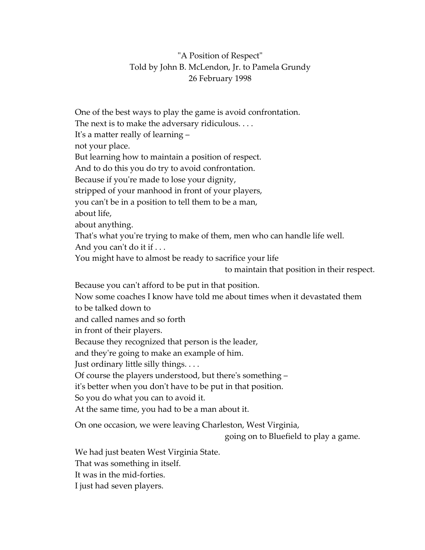## "A Position of Respect" Told by John B. McLendon, Jr. to Pamela Grundy 26 February 1998

One of the best ways to play the game is avoid confrontation. The next is to make the adversary ridiculous. . . . It's a matter really of learning – not your place. But learning how to maintain a position of respect. And to do this you do try to avoid confrontation. Because if you're made to lose your dignity, stripped of your manhood in front of your players, you can't be in a position to tell them to be a man, about life, about anything. That's what you're trying to make of them, men who can handle life well. And you can't do it if . . . You might have to almost be ready to sacrifice your life to maintain that position in their respect. Because you can't afford to be put in that position. Now some coaches I know have told me about times when it devastated them to be talked down to and called names and so forth in front of their players. Because they recognized that person is the leader, and they're going to make an example of him. Just ordinary little silly things. . . . Of course the players understood, but there's something – it's better when you don't have to be put in that position. So you do what you can to avoid it. At the same time, you had to be a man about it. On one occasion, we were leaving Charleston, West Virginia,

going on to Bluefield to play a game.

We had just beaten West Virginia State. That was something in itself. It was in the mid-forties. I just had seven players.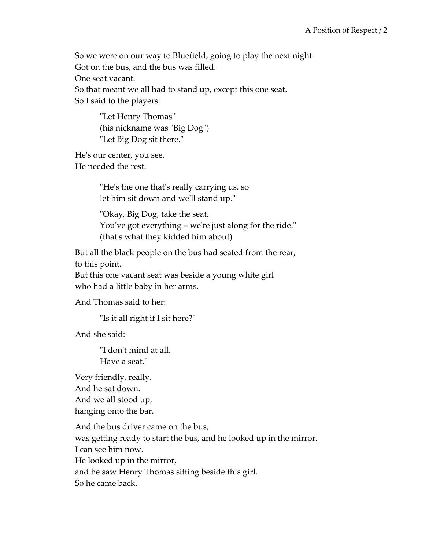So we were on our way to Bluefield, going to play the next night. Got on the bus, and the bus was filled.

One seat vacant.

So that meant we all had to stand up, except this one seat. So I said to the players:

> "Let Henry Thomas" (his nickname was "Big Dog") "Let Big Dog sit there."

He's our center, you see. He needed the rest.

> "He's the one that's really carrying us, so let him sit down and we'll stand up."

"Okay, Big Dog, take the seat. You've got everything – we're just along for the ride." (that's what they kidded him about)

But all the black people on the bus had seated from the rear, to this point.

But this one vacant seat was beside a young white girl who had a little baby in her arms.

And Thomas said to her:

"Is it all right if I sit here?"

And she said:

"I don't mind at all. Have a seat."

Very friendly, really. And he sat down. And we all stood up, hanging onto the bar.

And the bus driver came on the bus, was getting ready to start the bus, and he looked up in the mirror. I can see him now. He looked up in the mirror, and he saw Henry Thomas sitting beside this girl. So he came back.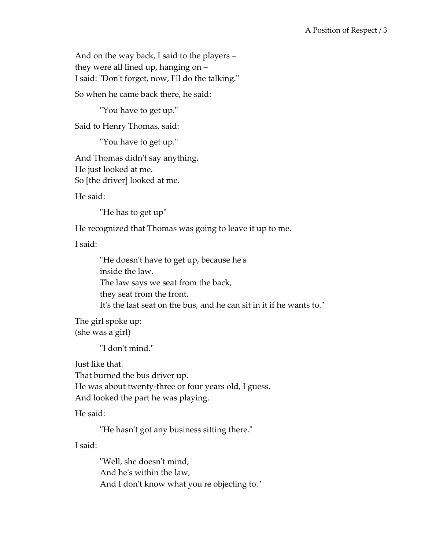And on the way back, I said to the players – they were all lined up, hanging on – I said: "Don't forget, now, I'll do the talking."

So when he came back there, he said:

"You have to get up."

Said to Henry Thomas, said:

"You have to get up."

And Thomas didn't say anything. He just looked at me. So [the driver] looked at me.

He said:

"He has to get up"

He recognized that Thomas was going to leave it up to me.

I said:

"He doesn't have to get up, because he's inside the law. The law says we seat from the back, they seat from the front. It's the last seat on the bus, and he can sit in it if he wants to."

The girl spoke up: (she was a girl)

"I don't mind."

Just like that. That burned the bus driver up. He was about twenty-three or four years old, I guess. And looked the part he was playing.

He said:

"He hasn't got any business sitting there."

I said:

"Well, she doesn't mind, And he's within the law, And I don't know what you're objecting to."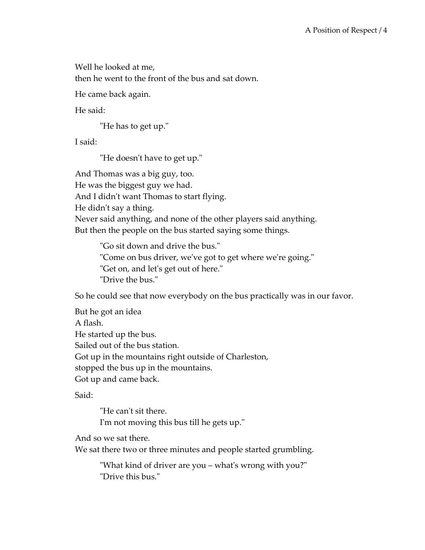Well he looked at me, then he went to the front of the bus and sat down.

He came back again.

He said:

"He has to get up."

I said:

"He doesn't have to get up."

And Thomas was a big guy, too. He was the biggest guy we had. And I didn't want Thomas to start flying. He didn't say a thing. Never said anything, and none of the other players said anything. But then the people on the bus started saying some things.

> "Go sit down and drive the bus." "Come on bus driver, we've got to get where we're going." "Get on, and let's get out of here." "Drive the bus."

So he could see that now everybody on the bus practically was in our favor.

But he got an idea A flash. He started up the bus. Sailed out of the bus station. Got up in the mountains right outside of Charleston, stopped the bus up in the mountains. Got up and came back.

Said:

"He can't sit there. I'm not moving this bus till he gets up."

And so we sat there.

We sat there two or three minutes and people started grumbling.

"What kind of driver are you – what's wrong with you?" "Drive this bus."